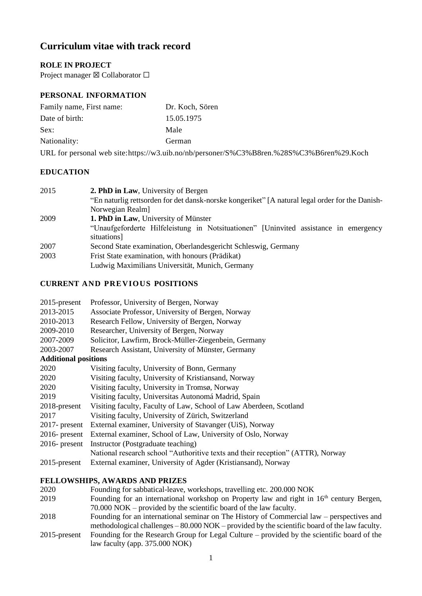# **Curriculum vitae with track record**

# **ROLE IN PROJECT**

Project manager ⊠ Collaborator □

# **PERSONAL INFORMATION**

| Family name, First name: | Dr. Koch, Sören                                                                          |
|--------------------------|------------------------------------------------------------------------------------------|
| Date of birth:           | 15.05.1975                                                                               |
| Sex:                     | Male                                                                                     |
| Nationality:             | German                                                                                   |
|                          | URL for personal web site:https://w3.uib.no/nb/personer/S%C3%B8ren.%28S%C3%B6ren%29.Koch |

## **EDUCATION**

| 2. PhD in Law, University of Bergen                                                                 |
|-----------------------------------------------------------------------------------------------------|
| "En naturlig rettsorden for det dansk-norske kongeriket" [A natural legal order for the Danish-     |
| Norwegian Realm                                                                                     |
| 1. PhD in Law, University of Münster                                                                |
| "Unaufgeforderte Hilfeleistung in Notsituationen" [Uninvited assistance in emergency<br>situations] |
| Second State examination, Oberlandesgericht Schleswig, Germany                                      |
| Frist State examination, with honours (Prädikat)<br>Ludwig Maximilians Universität, Munich, Germany |
|                                                                                                     |

# **CURRENT AND PREVIOUS POSITIONS**

| 2015-present                | Professor, University of Bergen, Norway                                         |
|-----------------------------|---------------------------------------------------------------------------------|
| 2013-2015                   | Associate Professor, University of Bergen, Norway                               |
| 2010-2013                   | Research Fellow, University of Bergen, Norway                                   |
| 2009-2010                   | Researcher, University of Bergen, Norway                                        |
| 2007-2009                   | Solicitor, Lawfirm, Brock-Müller-Ziegenbein, Germany                            |
| 2003-2007                   | Research Assistant, University of Münster, Germany                              |
| <b>Additional positions</b> |                                                                                 |
| 2020                        | Visiting faculty, University of Bonn, Germany                                   |
| 2020                        | Visiting faculty, University of Kristiansand, Norway                            |
| 2020                        | Visiting faculty, University in Tromsø, Norway                                  |
| 2019                        | Visiting faculty, Universitas Autonomá Madrid, Spain                            |
| 2018-present                | Visiting faculty, Faculty of Law, School of Law Aberdeen, Scotland              |
| 2017                        | Visiting faculty, University of Zürich, Switzerland                             |
| $2017$ - present            | External examiner, University of Stavanger (UiS), Norway                        |
| $2016$ - present            | External examiner, School of Law, University of Oslo, Norway                    |
| $2016$ - present            | Instructor (Postgraduate teaching)                                              |
|                             | National research school "Authoritive texts and their reception" (ATTR), Norway |
| 2015-present                | External examiner, University of Agder (Kristiansand), Norway                   |

## **FELLOWSHIPS, AWARDS AND PRIZES**

| 2020            | Founding for sabbatical-leave, workshops, travelling etc. 200.000 NOK                         |
|-----------------|-----------------------------------------------------------------------------------------------|
| 2019            | Founding for an international workshop on Property law and right in $16th$ century Bergen,    |
|                 | $70.000$ NOK – provided by the scientific board of the law faculty.                           |
| 2018            | Founding for an international seminar on The History of Commercial law – perspectives and     |
|                 | methodological challenges – 80.000 NOK – provided by the scientific board of the law faculty. |
| $2015$ -present | Founding for the Research Group for Legal Culture – provided by the scientific board of the   |
|                 | law faculty (app. 375.000 NOK)                                                                |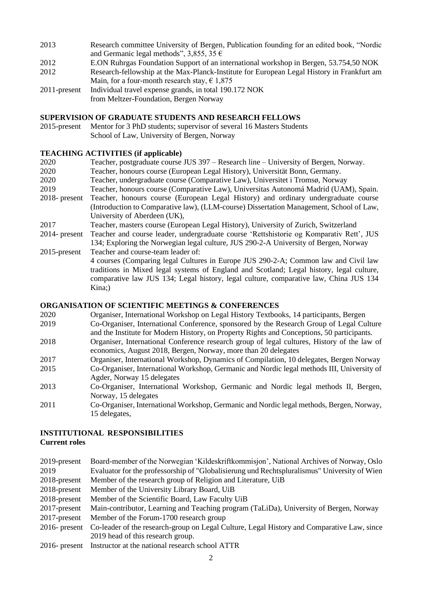- 2013 Research committee University of Bergen, Publication founding for an edited book, "Nordic and Germanic legal methods", 3,855, 35  $\epsilon$
- 2012 E.ON Ruhrgas Foundation Support of an international workshop in Bergen, 53.754,50 NOK
- 2012 Research-fellowship at the Max-Planck-Institute for European Legal History in Frankfurt am Main, for a four-month research stay,  $\epsilon$  1,875
- 2011-present Individual travel expense grands, in total 190.172 NOK from Meltzer-Foundation, Bergen Norway

#### **SUPERVISION OF GRADUATE STUDENTS AND RESEARCH FELLOWS**

2015-present Mentor for 3 PhD students; supervisor of several 16 Masters Students School of Law, University of Bergen, Norway

### **TEACHING ACTIVITIES (if applicable)**

- 2020 Teacher, postgraduate course JUS 397 Research line University of Bergen, Norway. 2020 Teacher, honours course (European Legal History), Universität Bonn, Germany. 2020 Teacher, undergraduate course (Comparative Law), Universitet i Tromsø, Norway 2019 Teacher, honours course (Comparative Law), Universitas Autonomá Madrid (UAM), Spain. 2018- present Teacher, honours course (European Legal History) and ordinary undergraduate course (Introduction to Comparative law), (LLM-course) Dissertation Management, School of Law, University of Aberdeen (UK), 2017 Teacher, masters course (European Legal History), University of Zurich, Switzerland 2014- present Teacher and course leader, undergraduate course 'Rettshistorie og Komparativ Rett', JUS 134; Exploring the Norwegian legal culture, JUS 290-2-A University of Bergen, Norway 2015-present Teacher and course-team leader of: 4 courses (Comparing legal Cultures in Europe JUS 290-2-A; Common law and Civil law
	- traditions in Mixed legal systems of England and Scotland; Legal history, legal culture, comparative law JUS 134; Legal history, legal culture, comparative law, China JUS 134 Kina;)

## **ORGANISATION OF SCIENTIFIC MEETINGS & CONFERENCES**

- 2020 Organiser, International Workshop on Legal History Textbooks, 14 participants, Bergen
- 2019 Co-Organiser, International Conference, sponsored by the Research Group of Legal Culture and the Institute for Modern History, on Property Rights and Conceptions, 50 participants.
- 2018 Organiser, International Conference research group of legal cultures, History of the law of economics, August 2018, Bergen, Norway, more than 20 delegates
- 2017 Organiser, International Workshop, Dynamics of Compilation, 10 delegates, Bergen Norway
- 2015 Co-Organiser, International Workshop, Germanic and Nordic legal methods III, University of Agder, Norway 15 delegates
- 2013 Co-Organiser, International Workshop, Germanic and Nordic legal methods II, Bergen, Norway, 15 delegates
- 2011 Co-Organiser, International Workshop, Germanic and Nordic legal methods, Bergen, Norway, 15 delegates,

# **INSTITUTIONAL RESPONSIBILITIES**

**Current roles**

- 2019-present Board-member of the Norwegian 'Kildeskriftkommisjon', National Archives of Norway, Oslo 2019 Evaluator for the professorship of "Globalisierung und Rechtspluralismus" University of Wien 2018-present Member of the research group of Religion and Literature, UiB
- 2018-present Member of the University Library Board, UiB
- 2018-present Member of the Scientific Board, Law Faculty UiB
- 2017-present Main-contributor, Learning and Teaching program (TaLiDa), University of Bergen, Norway
- 2017-present Member of the Forum-1700 research group
- 2016- present Co-leader of the research-group on Legal Culture, Legal History and Comparative Law, since 2019 head of this research group.
- 2016- present Instructor at the national research school ATTR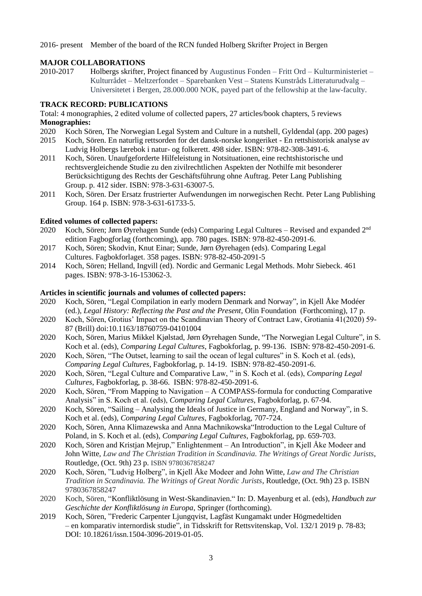2016- present Member of the board of the RCN funded Holberg Skrifter Project in Bergen

## **MAJOR COLLABORATIONS**

2010-2017 Holbergs skrifter, Project financed by Augustinus Fonden – Fritt Ord – Kulturministeriet – Kulturrådet – Meltzerfondet – Sparebanken Vest – Statens Kunstråds Litteraturudvalg – Universitetet i Bergen, 28.000.000 NOK, payed part of the fellowship at the law-faculty.

### **TRACK RECORD: PUBLICATIONS**

Total: 4 monographies, 2 edited volume of collected papers, 27 articles/book chapters, 5 reviews **Monographies:** 

- 2020 Koch Sören, The Norwegian Legal System and Culture in a nutshell, Gyldendal (app. 200 pages)
- 2015 Koch, Sören. En naturlig rettsorden for det dansk-norske kongeriket En rettshistorisk analyse av Ludvig Holbergs lærebok i natur- og folkerett. 498 sider. ISBN: 978-82-308-3491-6.
- 2011 Koch, Sören. Unaufgeforderte Hilfeleistung in Notsituationen, eine rechtshistorische und rechtsvergleichende Studie zu den zivilrechtlichen Aspekten der Nothilfe mit besonderer Berücksichtigung des Rechts der Geschäftsführung ohne Auftrag. Peter Lang Publishing Group. p. 412 sider. ISBN: 978-3-631-63007-5.
- 2011 Koch, Sören. Der Ersatz frustrierter Aufwendungen im norwegischen Recht. Peter Lang Publishing Group. 164 p. ISBN: 978-3-631-61733-5.

#### **Edited volumes of collected papers:**

- 2020 Koch, Sören; Jørn Øyrehagen Sunde (eds) Comparing Legal Cultures Revised and expanded 2<sup>nd</sup> edition Fagbogforlag (forthcoming), app. 780 pages. ISBN: 978-82-450-2091-6.
- 2017 Koch, Sören; Skodvin, Knut Einar; Sunde, Jørn Øyrehagen (eds). Comparing Legal Cultures. Fagbokforlaget. 358 pages. ISBN: 978-82-450-2091-5
- 2014 Koch, Sören; Helland, Ingvill (ed). Nordic and Germanic Legal Methods. Mohr Siebeck. 461 pages. ISBN: 978-3-16-153062-3.

#### **Articles in scientific journals and volumes of collected papers:**

- 2020 Koch, Sören, "Legal Compilation in early modern Denmark and Norway", in Kjell Åke Modéer (ed.), *Legal History: Reflecting the Past and the Present*, Olin Foundation (Forthcoming), 17 p.
- 2020 Koch, Sören, Grotius' Impact on the Scandinavian Theory of Contract Law, Grotiania 41(2020) 59- 87 (Brill) doi:10.1163/18760759-04101004
- 2020 Koch, Sören, Marius Mikkel Kjølstad, Jørn Øyrehagen Sunde, "The Norwegian Legal Culture", in S. Koch et al. (eds), *Comparing Legal Cultures*, Fagbokforlag, p. 99-136. ISBN: 978-82-450-2091-6.
- 2020 Koch, Sören, "The Outset, learning to sail the ocean of legal cultures" in S. Koch et al. (eds), *Comparing Legal Cultures*, Fagbokforlag, p. 14-19. ISBN: 978-82-450-2091-6.
- 2020 Koch, Sören, "Legal Culture and Comparative Law, " in S. Koch et al. (eds), *Comparing Legal Cultures*, Fagbokforlag, p. 38-66. ISBN: 978-82-450-2091-6.
- 2020 Koch, Sören, "From Mapping to Navigation A COMPASS-formula for conducting Comparative Analysis" in S. Koch et al. (eds), *Comparing Legal Cultures*, Fagbokforlag, p. 67-94.
- 2020 Koch, Sören, "Sailing Analysing the Ideals of Justice in Germany, England and Norway", in S. Koch et al. (eds), *Comparing Legal Cultures*, Fagbokforlag, 707-724.
- 2020 Koch, Sören, Anna Klimazewska and Anna Machnikowska"Introduction to the Legal Culture of Poland, in S. Koch et al. (eds), *Comparing Legal Cultures*, Fagbokforlag, pp. 659-703.
- 2020 Koch, Sören and Kristjan Mejrup," Enlightenment An Introduction", in Kjell Åke Modeer and John Witte, *Law and The Christian Tradition in Scandinavia. The Writings of Great Nordic Jurists*, Routledge, (Oct. 9th) 23 p. ISBN 9780367858247
- 2020 Koch, Sören, "Ludvig Holberg", in Kjell Åke Modeer and John Witte, *Law and The Christian Tradition in Scandinavia. The Writings of Great Nordic Jurists*, Routledge, (Oct. 9th) 23 p. ISBN 9780367858247
- 2020 Koch, Sören, "Konfliktlösung in West-Skandinavien." In: D. Mayenburg et al. (eds), *Handbuch zur Geschichte der Konfliktlösung in Europa*, Springer (forthcoming).
- 2019 Koch, Sören, "Frederic Carpenter Ljungqvist, Lagfäst Kungamakt under Högmedeltiden – en komparativ internordisk studie", in Tidsskrift for Rettsvitenskap, Vol. 132/1 2019 p. 78-83; DOI: 10.18261/issn.1504-3096-2019-01-05.